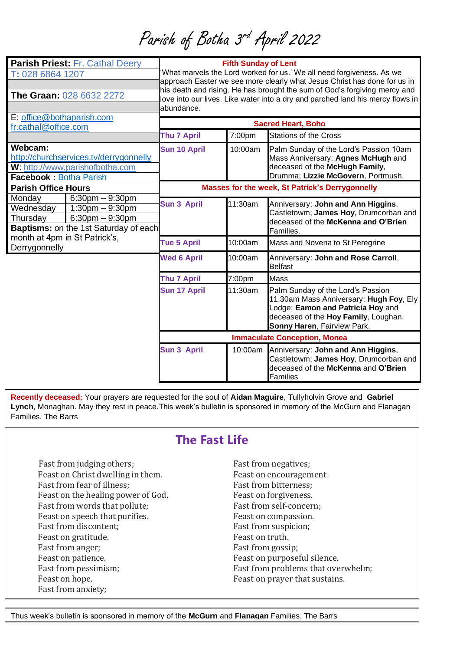Parish of Botha 3<sup>rd</sup> April 2022

| <b>Parish Priest: Fr. Cathal Deery</b><br>T: 028 6864 1207<br><b>The Graan: 028 6632 2272</b><br>E: office@bothaparish.com |                                                                                                               | <b>Fifth Sunday of Lent</b><br>What marvels the Lord worked for us.' We all need forgiveness. As we<br>approach Easter we see more clearly what Jesus Christ has done for us in<br>his death and rising. He has brought the sum of God's forgiving mercy and<br>love into our lives. Like water into a dry and parched land his mercy flows in<br>abundance. |         |                                                                                                                                                                                          |
|----------------------------------------------------------------------------------------------------------------------------|---------------------------------------------------------------------------------------------------------------|--------------------------------------------------------------------------------------------------------------------------------------------------------------------------------------------------------------------------------------------------------------------------------------------------------------------------------------------------------------|---------|------------------------------------------------------------------------------------------------------------------------------------------------------------------------------------------|
| fr.cathal@office.com                                                                                                       |                                                                                                               | <b>Sacred Heart, Boho</b>                                                                                                                                                                                                                                                                                                                                    |         |                                                                                                                                                                                          |
|                                                                                                                            |                                                                                                               | <b>Thu 7 April</b>                                                                                                                                                                                                                                                                                                                                           | 7:00pm  | <b>Stations of the Cross</b>                                                                                                                                                             |
| Webcam:<br>http://churchservices.tv/derrygonnelly<br>W: http://www.parishofbotha.com<br><b>Facebook: Botha Parish</b>      |                                                                                                               | <b>Sun 10 April</b>                                                                                                                                                                                                                                                                                                                                          | 10:00am | Palm Sunday of the Lord's Passion 10am<br>Mass Anniversary: Agnes McHugh and<br>deceased of the McHugh Family,<br>Drumma; Lizzie McGovern, Portmush.                                     |
| <b>Parish Office Hours</b>                                                                                                 |                                                                                                               | Masses for the week, St Patrick's Derrygonnelly                                                                                                                                                                                                                                                                                                              |         |                                                                                                                                                                                          |
| Monday<br>Wednesday<br>Thursday                                                                                            | $6:30$ pm $-9:30$ pm<br>$1:30$ pm $-9:30$ pm<br>$6:30$ pm $-9:30$ pm<br>Baptisms: on the 1st Saturday of each | <b>Sun 3 April</b>                                                                                                                                                                                                                                                                                                                                           | 11:30am | Anniversary: John and Ann Higgins,<br>Castletowm; James Hoy, Drumcorban and<br>deceased of the McKenna and O'Brien<br>Families.                                                          |
| month at 4pm in St Patrick's,<br>Derrygonnelly                                                                             |                                                                                                               | <b>Tue 5 April</b>                                                                                                                                                                                                                                                                                                                                           | 10:00am | Mass and Novena to St Peregrine                                                                                                                                                          |
|                                                                                                                            |                                                                                                               | <b>Wed 6 April</b>                                                                                                                                                                                                                                                                                                                                           | 10:00am | Anniversary: John and Rose Carroll,<br><b>Belfast</b>                                                                                                                                    |
|                                                                                                                            |                                                                                                               | <b>Thu 7 April</b>                                                                                                                                                                                                                                                                                                                                           | 7:00pm  | <b>Mass</b>                                                                                                                                                                              |
|                                                                                                                            |                                                                                                               | <b>Sun 17 April</b>                                                                                                                                                                                                                                                                                                                                          | 11:30am | Palm Sunday of the Lord's Passion<br>11.30am Mass Anniversary: Hugh Foy, Ely<br>Lodge; Eamon and Patricia Hoy and<br>deceased of the Hoy Family, Loughan.<br>Sonny Haren, Fairview Park. |
|                                                                                                                            |                                                                                                               | <b>Immaculate Conception, Monea</b>                                                                                                                                                                                                                                                                                                                          |         |                                                                                                                                                                                          |
|                                                                                                                            |                                                                                                               | <b>Sun 3 April</b>                                                                                                                                                                                                                                                                                                                                           |         | 10:00am Anniversary: John and Ann Higgins,<br>Castletowm; James Hoy, Drumcorban and<br>deceased of the McKenna and O'Brien<br><b>Families</b>                                            |

**Recently deceased:** Your prayers are requested for the soul of **Aidan Maguire**, Tullyholvin Grove and **Gabriel Lynch**, Monaghan. May they rest in peace.This week's bulletin is sponsored in memory of the McGurn and Flanagan Families, The Barrs

## **The Fast Life**

Fast from judging others: Fast from negatives: Feast on Christ dwelling in them. Feast on encouragement Fast from fear of illness; Fast from bitterness; Feast on the healing power of God. Feast on forgiveness. Fast from words that pollute: Fast from self-concern; Feast on speech that purifies. Feast on compassion. Fast from discontent; Fast from suspicion; Feast on gratitude. The set of the Feast on truth. Fast from anger; Fast from gossip; Feast on patience. The set of purposeful silence. Fast from pessimism; Fast from problems that overwhelm; Feast on hope. The Feast on prayer that sustains. Fast from anxiety;

Feast on faith. Thus week's bulletin is sponsored in memory of the **McGurn** and **Flanagan** Families, The Barrs